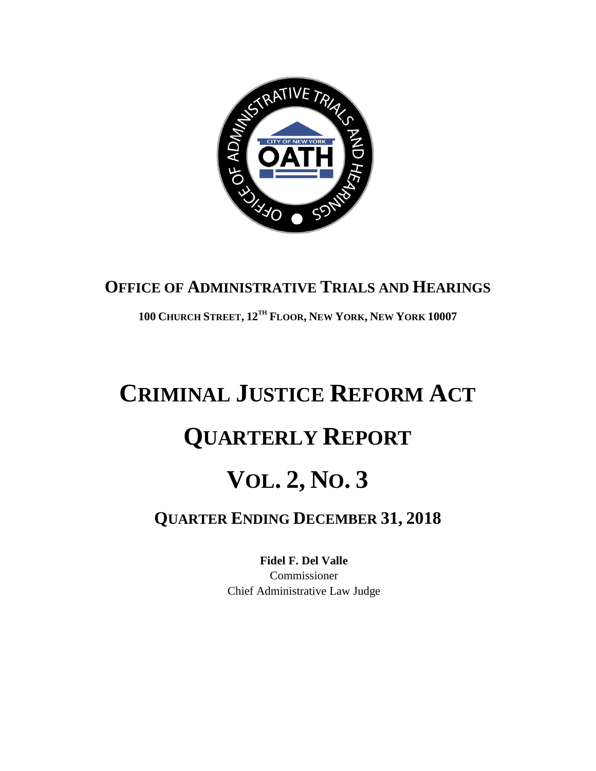

## **OFFICE OF ADMINISTRATIVE TRIALS AND HEARINGS**

**100 CHURCH STREET, 12TH FLOOR, NEW YORK, NEW YORK 10007**

## **CRIMINAL JUSTICE REFORM ACT QUARTERLY REPORT VOL. 2, NO. 3 QUARTER ENDING DECEMBER 31, 2018**

**Fidel F. Del Valle** Commissioner Chief Administrative Law Judge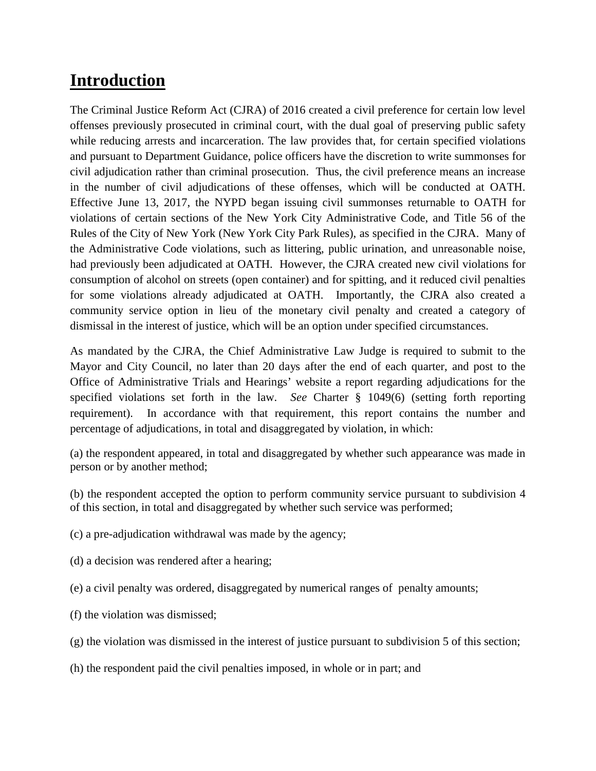## **Introduction**

The Criminal Justice Reform Act (CJRA) of 2016 created a civil preference for certain low level offenses previously prosecuted in criminal court, with the dual goal of preserving public safety while reducing arrests and incarceration. The law provides that, for certain specified violations and pursuant to Department Guidance, police officers have the discretion to write summonses for civil adjudication rather than criminal prosecution. Thus, the civil preference means an increase in the number of civil adjudications of these offenses, which will be conducted at OATH. Effective June 13, 2017, the NYPD began issuing civil summonses returnable to OATH for violations of certain sections of the New York City Administrative Code, and Title 56 of the Rules of the City of New York (New York City Park Rules), as specified in the CJRA. Many of the Administrative Code violations, such as littering, public urination, and unreasonable noise, had previously been adjudicated at OATH. However, the CJRA created new civil violations for consumption of alcohol on streets (open container) and for spitting, and it reduced civil penalties for some violations already adjudicated at OATH. Importantly, the CJRA also created a community service option in lieu of the monetary civil penalty and created a category of dismissal in the interest of justice, which will be an option under specified circumstances.

As mandated by the CJRA, the Chief Administrative Law Judge is required to submit to the Mayor and City Council, no later than 20 days after the end of each quarter, and post to the Office of Administrative Trials and Hearings' website a report regarding adjudications for the specified violations set forth in the law. *See* Charter § 1049(6) (setting forth reporting requirement). In accordance with that requirement, this report contains the number and percentage of adjudications, in total and disaggregated by violation, in which:

(a) the respondent appeared, in total and disaggregated by whether such appearance was made in person or by another method;

(b) the respondent accepted the option to perform community service pursuant to subdivision 4 of this section, in total and disaggregated by whether such service was performed;

- (c) a pre-adjudication withdrawal was made by the agency;
- (d) a decision was rendered after a hearing;
- (e) a civil penalty was ordered, disaggregated by numerical ranges of penalty amounts;
- (f) the violation was dismissed;
- (g) the violation was dismissed in the interest of justice pursuant to subdivision 5 of this section;
- (h) the respondent paid the civil penalties imposed, in whole or in part; and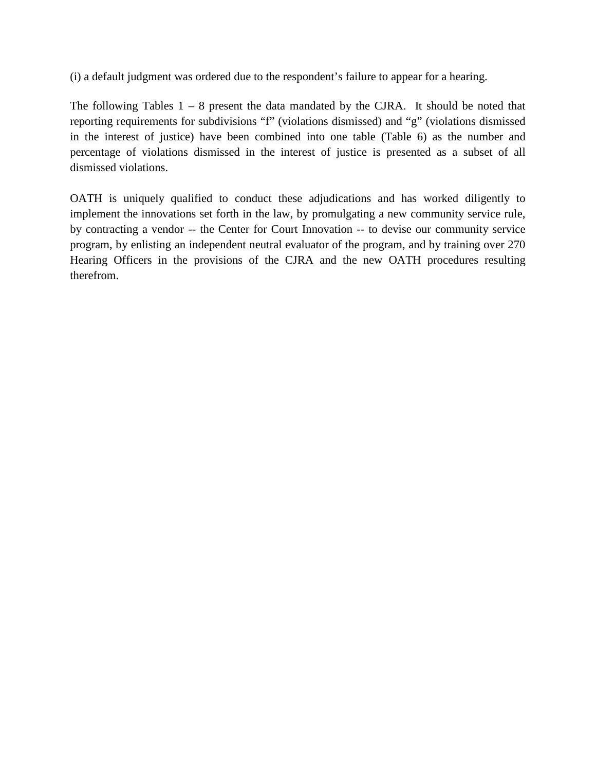(i) a default judgment was ordered due to the respondent's failure to appear for a hearing.

The following Tables  $1 - 8$  present the data mandated by the CJRA. It should be noted that reporting requirements for subdivisions "f" (violations dismissed) and "g" (violations dismissed in the interest of justice) have been combined into one table (Table 6) as the number and percentage of violations dismissed in the interest of justice is presented as a subset of all dismissed violations.

OATH is uniquely qualified to conduct these adjudications and has worked diligently to implement the innovations set forth in the law, by promulgating a new community service rule, by contracting a vendor -- the Center for Court Innovation -- to devise our community service program, by enlisting an independent neutral evaluator of the program, and by training over 270 Hearing Officers in the provisions of the CJRA and the new OATH procedures resulting therefrom.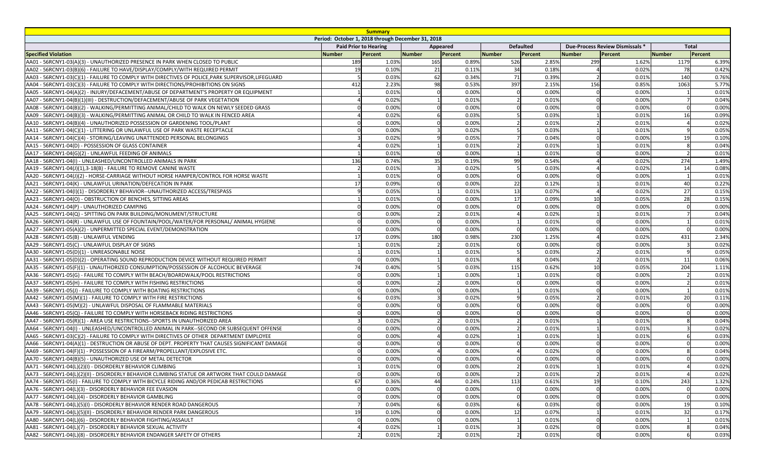| <b>Summary</b><br>Period: October 1, 2018 through December 31, 2018                               |                 |                              |               |          |                  |        |                  |        |                                 |        |              |       |
|---------------------------------------------------------------------------------------------------|-----------------|------------------------------|---------------|----------|------------------|--------|------------------|--------|---------------------------------|--------|--------------|-------|
|                                                                                                   |                 | <b>Paid Prior to Hearing</b> |               |          |                  |        | <b>Defaulted</b> |        | Due-Process Review Dismissals * |        | <b>Total</b> |       |
| <b>Specified Violation</b>                                                                        | <b>Number</b>   | Percent                      | <b>Number</b> | Appeared |                  | Number | Percent          | Number |                                 | Number | Percent      |       |
| AA01 - 56RCNY1-03(A)(3) - UNAUTHORIZED PRESENCE IN PARK WHEN CLOSED TO PUBLIC                     | 189             | 1.03%                        | 165           |          | Percent<br>0.89% | 526    | 2.85%            | 299    | Percent<br>1.62%                |        | 1179         | 6.39% |
| AA02 - 56RCNY1-03(B)(6) - FAILURE TO HAVE/DISPLAY/COMPLY/WITH REQUIRED PERMIT                     | 19              | 0.10%                        |               | 21       | 0.11%            | 34     | 0.18%            |        | 0.02%                           |        | 78           | 0.42% |
| AA03 - 56RCNY1-03(C)(1) - FAILURE TO COMPLY WITH DIRECTIVES OF POLICE, PARK SUPERVISOR, LIFEGUARD |                 | 0.03%                        |               | 62       | 0.34%            | 71     | 0.39%            |        | 0.01%                           |        | 140          | 0.76% |
| AA04 - 56RCNY1-03(C)(3) - FAILURE TO COMPLY WITH DIRECTIONS/PROHIBITIONS ON SIGNS                 | 412             | 2.23%                        |               | 98       | 0.53%            | 397    | 2.15%            | 156    | 0.85%                           |        | 1063         | 5.77% |
| AA05 - 56RCNY1-04(A)(2) - INJURY/DEFACEMENT/ABUSE OF DEPARTMENT'S PROPERTY OR EQUIPMENT           |                 | 0.01%                        |               |          | 0.00%            |        | 0.00%            |        | 0.00%                           |        |              | 0.01% |
| AA07 - 56RCNY1-04(B)(1)(III) - DESTRUCTION/DEFACEMENT/ABUSE OF PARK VEGETATION                    |                 | 0.02%                        |               |          | 0.01%            |        | 0.01%            |        | 0.00%                           |        |              | 0.04% |
| AA08 - 56RCNY1-04(B)(2) - WALKING/PERMITTING ANIMAL/CHILD TO WALK ON NEWLY SEEDED GRASS           |                 | 0.00%                        |               |          | 0.00%            |        | 0.00%            |        | 0.00%                           |        |              | 0.00% |
| AA09 - 56RCNY1-04(B)(3) - WALKING/PERMITTING ANIMAL OR CHILD TO WALK IN FENCED AREA               |                 | 0.02%                        |               |          | 0.03%            |        | 0.03%            |        | 0.01%                           |        | 16           | 0.09% |
| AA10 - 56RCNY1-04(B)(4) - UNAUTHORIZED POSSESSION OF GARDENING TOOL/PLANT                         |                 | 0.00%                        |               |          | 0.00%            |        | 0.01%            |        | 0.01%                           |        |              | 0.02% |
| AA11 - 56RCNY1-04(C)(1) - LITTERING OR UNLAWFUL USE OF PARK WASTE RECEPTACLE                      |                 | 0.00%                        |               |          | 0.02%            |        | 0.03%            |        | 0.01%                           |        |              | 0.05% |
| AA14 - 56RCNY1-04(C)(4) - STORING/LEAVING UNATTENDED PERSONAL BELONGINGS                          |                 | 0.02%                        |               |          | 0.05%            |        | 0.04%            |        | 0.00%                           |        | 19           |       |
| AA15 - 56RCNY1-04(D) - POSSESSION OF GLASS CONTAINER                                              |                 | 0.02%                        |               |          | 0.01%            |        | 0.01%            |        | 0.01%                           |        |              | 0.10% |
|                                                                                                   |                 |                              |               |          |                  |        |                  |        |                                 |        |              | 0.04% |
| AA17 - 56RCNY1-04(G)(2) - UNLAWFUL FEEDING OF ANIMALS                                             |                 | 0.01%                        |               |          | 0.00%            |        | 0.01%            |        | 0.00%                           |        | 274          | 0.01% |
| AA18 - 56RCNY1-04(I) - UNLEASHED/UNCONTROLLED ANIMALS IN PARK                                     | 136             | 0.74%                        |               | 35       | 0.19%            | 99     | 0.54%            |        | 0.02%                           |        |              | 1.49% |
| AA19 - 56RCNY1-04(J)(1),3-18(B) - FAILURE TO REMOVE CANINE WASTE                                  |                 | 0.01%                        |               |          | 0.02%            |        | 0.03%            |        | 0.02%                           |        | 14           | 0.08% |
| AA20 - 56RCNY1-04(J)(2) - HORSE-CARRIAGE WITHOUT HORSE HAMPER/CONTROL FOR HORSE WASTE             |                 | 0.01%                        |               |          | 0.00%            |        | 0.00%            |        | 0.00%                           |        |              | 0.01% |
| AA21 - 56RCNY1-04(K) - UNLAWFUL URINATION/DEFECATION IN PARK                                      |                 | 0.09%                        |               |          | 0.00%            | 22     | 0.12%            |        | 0.01%                           |        | 4(           | 0.22% |
| AA22 - 56RCNY1-04(I)(1) - DISORDERLY BEHAVIOR--UNAUTHORIZED ACCESS/TRESPASS                       |                 | 0.05%                        |               |          | 0.01%            | 13     | 0.07%            |        | 0.02%                           |        | 27           | 0.15% |
| AA23 - 56RCNY1-04(O) - OBSTRUCTION OF BENCHES, SITTING AREAS                                      |                 | 0.01%                        |               |          | 0.00%            | 17     | 0.09%            | 10     | 0.05%                           |        | 28           | 0.15% |
| AA24 - 56RCNY1-04(P) - UNAUTHORIZED CAMPING                                                       |                 | 0.00%                        |               |          | 0.00%            |        | 0.00%            |        | 0.00%                           |        |              | 0.00% |
| AA25 - 56RCNY1-04(Q) - SPITTING ON PARK BUILDING/MONUMENT/STRUCTURE                               |                 | 0.00%                        |               |          | 0.01%            |        | 0.02%            |        | 0.01%                           |        |              | 0.04% |
| AA26 - 56RCNY1-04(R) - UNLAWFUL USE OF FOUNTAIN/POOL/WATER/FOR PERSONAL/ ANIMAL HYGIENE           |                 | 0.00%                        |               |          | 0.00%            |        | 0.01%            |        | 0.00%                           |        |              | 0.01% |
| AA27 - 56RCNY1-05(A)(2) - UNPERMITTED SPECIAL EVENT/DEMONSTRATION                                 |                 | 0.00%                        |               |          | 0.00%            |        | 0.00%            |        | 0.00%                           |        |              | 0.00% |
| AA28 - 56RCNY1-05(B) - UNLAWFUL VENDING                                                           | 17              | 0.09%                        | 180           |          | 0.98%            | 230    | 1.25%            |        | 0.02%                           |        | 431          | 2.34% |
| AA29 - 56RCNY1-05(C) - UNLAWFUL DISPLAY OF SIGNS                                                  |                 | 0.01%                        |               |          | 0.01%            |        | 0.00%            |        | 0.00%                           |        |              | 0.02% |
| AA30 - 56RCNY1-05(D)(1) - UNREASONABLE NOISE                                                      |                 | 0.01%                        |               |          | 0.01%            |        | 0.03%            |        | 0.01%                           |        |              | 0.05% |
| AA31 - 56RCNY1-05(D)(2) - OPERATING SOUND REPRODUCTION DEVICE WITHOUT REQUIRED PERMIT             |                 | 0.00%                        |               |          | 0.01%            |        | 0.04%            |        | 0.01%                           |        | 11           | 0.06% |
| AA35 - 56RCNY1-05(F)(1) - UNAUTHORIZED CONSUMPTION/POSSESSION OF ALCOHOLIC BEVERAGE               | 74I             | 0.40%                        |               |          | 0.03%            | 115    | 0.62%            | 10     | 0.05%                           |        | 204          | 1.11% |
| AA36 - 56RCNY1-05(G) - FAILURE TO COMPLY WITH BEACH/BOARDWALK/POOL RESTRICTIONS                   |                 | 0.00%                        |               |          | 0.00%            |        | 0.01%            |        | 0.00%                           |        |              | 0.01% |
| AA37 - 56RCNY1-05(H) - FAILURE TO COMPLY WITH FISHING RESTRICTIONS                                |                 | 0.00%                        |               |          | 0.00%            |        | 0.00%            |        | 0.00%                           |        |              | 0.01% |
| AA39 - 56RCNY1-05(J) - FAILURE TO COMPLY WITH BOATING RESTRICTIONS                                |                 | 0.00%                        |               |          | 0.00%            |        | 0.01%            |        | 0.00%                           |        |              | 0.01% |
| AA42 - 56RCNY1-05(M)(1) - FAILURE TO COMPLY WITH FIRE RESTRICTIONS                                |                 | 0.03%                        |               |          | 0.02%            |        | 0.05%            |        | 0.01%                           |        | 20           | 0.11% |
| AA43 - 56RCNY1-05(M)(2) - UNLAWFUL DISPOSAL OF FLAMMABLE MATERIALS                                |                 | 0.00%                        |               |          | 0.00%            |        | 0.00%            |        | 0.00%                           |        |              | 0.00% |
| AA46 - 56RCNY1-05(Q) - FAILURE TO COMPLY WITH HORSEBACK RIDING RESTRICTIONS                       |                 | 0.00%                        |               |          | 0.00%            |        | 0.00%            |        | 0.00%                           |        |              | 0.00% |
| AA47 - 56RCNY1-05(R)(1) - AREA USE RESTRICTIONS--SPORTS IN UNAUTHORIZED AREA                      |                 | 0.02%                        |               |          | 0.01%            |        | 0.01%            |        | 0.01%                           |        |              | 0.04% |
| AA64 - 56RCNY1-04(I) - UNLEASHED/UNCONTROLLED ANIMAL IN PARK--SECOND OR SUBSEQUENT OFFENSE        |                 | 0.00%                        |               |          | 0.00%            |        | 0.01%            |        | 0.01%                           |        |              | 0.02% |
| AA65 - 56RCNY1-03(C)(2) - FAILURE TO COMPLY WITH DIRECTIVES OF OTHER DEPARTMENT EMPLOYEE          |                 | 0.00%                        |               |          | 0.02%            |        | 0.01%            |        | 0.01%                           |        |              | 0.03% |
| AA66 - 56RCNY1-04(A)(1) - DESTRUCTION OR ABUSE OF DEPT. PROPERTY THAT CAUSES SIGNIFICANT DAMAGE   |                 | 0.00%                        |               |          | 0.00%            |        | 0.00%            |        | 0.00%                           |        |              | 0.00% |
| AA69 - 56RCNY1-04(F)(1) - POSSESSION OF A FIREARM/PROPELLANT/EXPLOSIVE ETC.                       |                 | 0.00%                        |               |          | 0.00%            |        | 0.02%            |        | 0.00%                           |        |              | 0.04% |
| AA70 - 56RCNY1-04(B)(5) - UNAUTHORIZED USE OF METAL DETECTOR                                      |                 | 0.00%                        |               |          | 0.00%            |        | 0.00%            |        | 0.00%                           |        |              | 0.00% |
| AA71 - 56RCNY1-04(L)(2)(I) - DISORDERLY BEHAVIOR CLIMBING                                         |                 | 0.01%                        |               |          | 0.00%            |        | 0.01%            |        | 0.01%                           |        |              | 0.02% |
| AA73 - 56RCNY1-04(L)(2)(II) - DISORDERLY BEHAVIOR CLIMBING STATUE OR ARTWORK THAT COULD DAMAGE    |                 | 0.00%                        |               |          | 0.00%            |        | 0.01%            |        | 0.01%                           |        |              | 0.02% |
| AA74 - 56RCNY1-05(I) - FAILURE TO COMPLY WITH BICYCLE RIDING AND/OR PEDICAB RESTRICTIONS          | 67              | 0.36%                        |               |          | 0.24%            | 113    | 0.61%            | 19     | 0.10%                           |        | 243          | 1.32% |
| AA76 - 56RCNY1-04(L)(3) - DISORDERLY BEHAVIOR FEE EVASION                                         |                 | 0.00%                        |               |          | 0.00%            |        | 0.00%            |        | 0.00%                           |        |              | 0.00% |
| AA77 - 56RCNY1-04(L)(4) - DISORDERLY BEHAVIOR GAMBLING                                            |                 | 0.00%                        |               |          | 0.00%            |        | 0.00%            |        | 0.00%                           |        |              | 0.00% |
| AA78 - 56RCNY1-04(L)(5)(I) - DISORDERLY BEHAVIOR RENDER ROAD DANGEROUS                            |                 | 0.04%                        |               |          | 0.03%            |        | 0.03%            |        | 0.00%                           |        | 19           | 0.10% |
| AA79 - 56RCNY1-04(L)(5)(II) - DISORDERLY BEHAVIOR RENDER PARK DANGEROUS                           | 19 <sup>l</sup> | 0.10%                        |               |          | 0.00%            | 12     | 0.07%            |        | 0.01%                           |        | 32           | 0.17% |
| AA80 - 56RCNY1-04(L)(6) - DISORDERLY BEHAVIOR FIGHTING/ASSAULT                                    |                 | 0.00%                        |               |          | 0.00%            |        | 0.01%            |        | 0.00%                           |        |              | 0.01% |
| AA81 - 56RCNY1-04(L)(7) - DISORDERLY BEHAVIOR SEXUAL ACTIVITY                                     |                 | 0.02%                        |               |          | 0.01%            |        | 0.029            |        | 0.00%                           |        |              | 0.04% |
| AA82 - 56RCNY1-04(L)(8) - DISORDERLY BEHAVIOR ENDANGER SAFETY OF OTHERS                           |                 | 0.01%                        |               |          | 0.01%            |        | 0.01%            |        | 0.00%                           |        |              | 0.03% |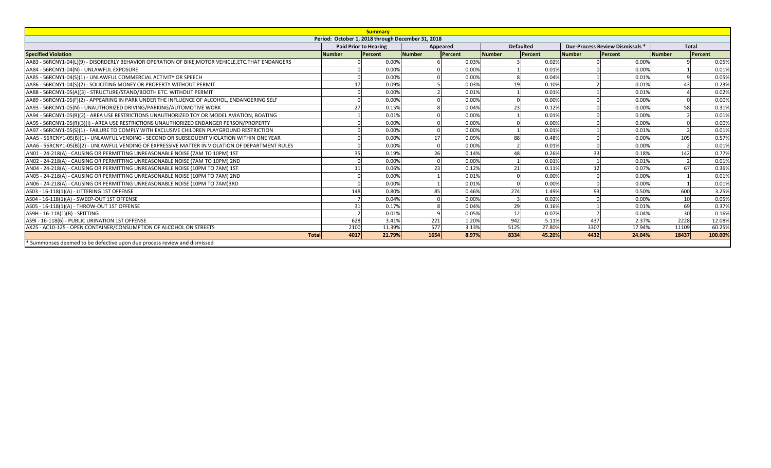|                                                                                                     |               | <b>Summary</b>                                    |               |          |                  |         |                                 |         |                 |         |
|-----------------------------------------------------------------------------------------------------|---------------|---------------------------------------------------|---------------|----------|------------------|---------|---------------------------------|---------|-----------------|---------|
|                                                                                                     |               | Period: October 1, 2018 through December 31, 2018 |               |          |                  |         |                                 |         |                 |         |
|                                                                                                     |               | <b>Paid Prior to Hearing</b>                      |               | Appeared | <b>Defaulted</b> |         | Due-Process Review Dismissals * |         | <b>Total</b>    |         |
| <b>Specified Violation</b>                                                                          | <b>Number</b> | Percent                                           | <b>Number</b> | Percent  | <b>Number</b>    | Percent | <b>Number</b>                   | Percent | <b>Number</b>   | Percent |
| AA83 - 56RCNY1-04(L)(9) - DISORDERLY BEHAVIOR OPERATION OF BIKE, MOTOR VEHICLE, ETC. THAT ENDANGERS |               | 0.00%                                             |               | 0.03%    |                  | 0.02%   |                                 | 0.00%   |                 | 0.05%   |
| AA84 - 56RCNY1-04(N) - UNLAWFUL EXPOSURE                                                            |               | 0.00%                                             |               | 0.00%    |                  | 0.01%   |                                 | 0.00%   |                 | 0.01%   |
| AA85 - 56RCNY1-04(S)(1) - UNLAWFUL COMMERCIAL ACTIVITY OR SPEECH                                    |               | 0.00%                                             |               | 0.00%    |                  | 0.04%   |                                 | 0.019   |                 | 0.05%   |
| AA86 - 56RCNY1-04(S)(2) - SOLICITING MONEY OR PROPERTY WITHOUT PERMIT                               |               | 0.09%                                             |               | 0.03%    | 19               | 0.10%   |                                 | 0.01%   | 43              | 0.23%   |
| AA88 - 56RCNY1-05(A)(3) - STRUCTURE/STAND/BOOTH ETC. WITHOUT PERMIT                                 |               | 0.00%                                             |               | 0.01%    |                  | 0.01%   |                                 | 0.01%   |                 | 0.02%   |
| AA89 - 56RCNY1-05(F)(2) - APPEARING IN PARK UNDER THE INFLUENCE OF ALCOHOL, ENDANGERING SELF        |               | 0.00%                                             |               | 0.00%    |                  | 0.00%   |                                 | 0.00%   |                 | 0.00%   |
| AA93 - 56RCNY1-05(N) - UNAUTHORIZED DRIVING/PARKING/AUTOMOTIVE WORK                                 |               | 27<br>0.15%                                       |               | 0.04%    | 23               | 0.12%   |                                 | 0.00%   | 58              | 0.31%   |
| AA94 - 56RCNY1-05(R)(2) - AREA USE RESTRICTIONS UNAUTHORIZED TOY OR MODEL AVIATION, BOATING         |               | 0.01%                                             |               | 0.00%    |                  | 0.01%   |                                 | 0.00%   |                 | 0.01%   |
| AA95 - 56RCNY1-05(R)(3)(I) - AREA USE RESTRICTIONS UNAUTHORIZED ENDANGER PERSON/PROPERTY            |               | 0.00%                                             |               | 0.00%    |                  | 0.00%   |                                 | 0.00%   |                 | 0.00%   |
| AA97 - 56RCNY1-05(S)(1) - FAILURE TO COMPLY WITH EXCLUSIVE CHILDREN PLAYGROUND RESTRICTION          |               | 0.00%                                             |               | 0.00%    |                  | 0.01%   |                                 | 0.01%   |                 | 0.01%   |
| AAA5 - 56RCNY1-05(B)(1) - UNLAWFUL VENDING - SECOND OR SUBSEQUENT VIOLATION WITHIN ONE YEAR         |               | 0.00%                                             | 17            | 0.09%    | 88               | 0.48%   |                                 | 0.00%   | 105             | 0.57%   |
| AAA6 - 56RCNY1-05(B)(2) - UNLAWFUL VENDING OF EXPRESSIVE MATTER IN VIOLATION OF DEPARTMENT RULES    |               | 0.00%                                             |               | 0.00%    |                  | 0.01%   |                                 | 0.00%   |                 | 0.01%   |
| AN01 - 24-218(A) - CAUSING OR PERMITTING UNREASONABLE NOISE (7AM TO 10PM) 1ST                       |               | 0.19%                                             | 26            | 0.14%    | 48               | 0.26%   | 33                              | 0.18%   | 142             | 0.77%   |
| AN02 - 24-218(A) - CAUSING OR PERMITTING UNREASONABLE NOISE (7AM TO 10PM) 2ND                       |               | 0.00%                                             |               | 0.00%    |                  | 0.01%   |                                 | 0.01%   |                 | 0.01%   |
| AN04 - 24-218(A) - CAUSING OR PERMITTING UNREASONABLE NOISE (10PM TO 7AM) 1ST                       |               | 0.06%                                             | 23            | 0.12%    | 21               | 0.11%   | 12                              | 0.07%   | 67              | 0.36%   |
| AN05 - 24-218(A) - CAUSING OR PERMITTING UNREASONABLE NOISE (10PM TO 7AM) 2ND                       |               | 0.00%                                             |               | 0.01%    |                  | 0.00%   |                                 | 0.00%   |                 | 0.01%   |
| AN06 - 24-218(A) - CAUSING OR PERMITTING UNREASONABLE NOISE (10PM TO 7AM)3RD                        |               | 0.00%                                             |               | 0.01%    |                  | 0.00%   |                                 | 0.00%   |                 | 0.01%   |
| AS03 - 16-118(1)(A) - LITTERING 1ST OFFENSE                                                         |               | 0.80%<br>148                                      | 85            | 0.46%    | 274              | 1.49%   | 93                              | 0.50%   | 600             | 3.25%   |
| AS04 - 16-118(1)(A) - SWEEP-OUT 1ST OFFENSE                                                         |               | 0.04%                                             |               | 0.00%    |                  | 0.02%   |                                 | 0.00%   | 10              | 0.05%   |
| AS05 - 16-118(1)(A) - THROW-OUT 1ST OFFENSE                                                         |               | 0.17%<br>31                                       |               | 0.04%    | 29               | 0.16%   |                                 | 0.01%   | 69              | 0.37%   |
| AS9H - 16-118(1)(B) - SPITTING                                                                      |               | 0.01%                                             |               | 0.05%    | 12               | 0.07%   |                                 | 0.04%   | $\overline{30}$ | 0.16%   |
| AS9I - 16-118(6) - PUBLIC URINATION 1ST OFFENSE                                                     |               | 628<br>3.41%                                      | 221           | 1.20%    | 942              | 5.11%   | 437                             | 2.37%   | 2228            | 12.08%  |
| AX25 - AC10-125 - OPEN CONTAINER/CONSUMPTION OF ALCOHOL ON STREETS                                  |               | 2100<br>11.39%                                    | 577           | 3.13%    | 5125             | 27.80%  | 3307                            | 17.94%  | 11109           | 60.25%  |
| <b>Total</b>                                                                                        |               | 4017<br>21.79%                                    | 1654          | 8.97%    | 8334             | 45.20%  | 4432                            | 24.04%  | 18437           | 100.00% |
| * Summonses deemed to be defective upon due process review and dismissed                            |               |                                                   |               |          |                  |         |                                 |         |                 |         |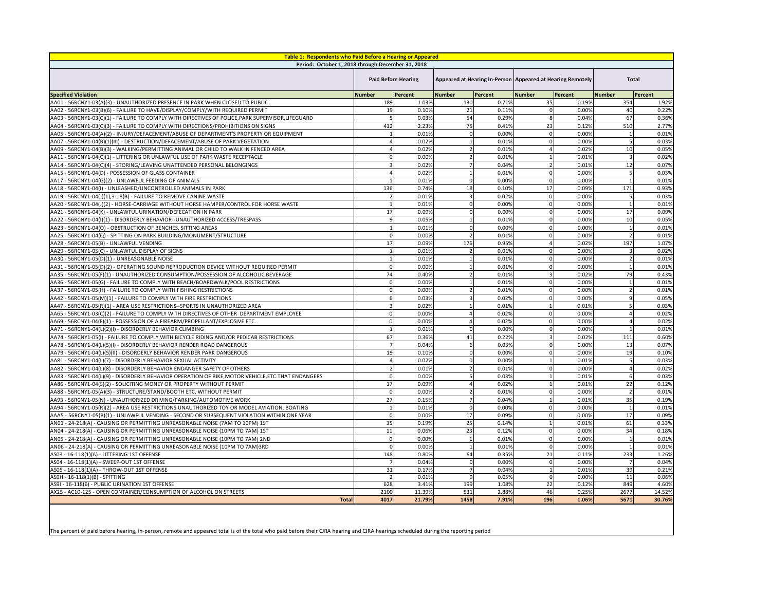| Table 1: Respondents who Paid Before a Hearing or Appeared                                          |                            |                |                |         |                                                              |         |               |         |
|-----------------------------------------------------------------------------------------------------|----------------------------|----------------|----------------|---------|--------------------------------------------------------------|---------|---------------|---------|
| Period: October 1, 2018 through December 31, 2018                                                   |                            |                |                |         |                                                              |         |               |         |
|                                                                                                     | <b>Paid Before Hearing</b> |                |                |         | Appeared at Hearing In-Person   Appeared at Hearing Remotely |         | <b>Total</b>  |         |
| <b>Specified Violation</b>                                                                          | <b>Number</b>              | <b>Percent</b> | <b>Number</b>  | Percent | Number                                                       | Percent | <b>Number</b> | Percent |
| AA01 - 56RCNY1-03(A)(3) - UNAUTHORIZED PRESENCE IN PARK WHEN CLOSED TO PUBLIC                       | 189                        | 1.03%          | 130            | 0.71%   | 35                                                           | 0.19%   | 354           | 1.92%   |
| AA02 - 56RCNY1-03(B)(6) - FAILURE TO HAVE/DISPLAY/COMPLY/WITH REQUIRED PERMIT                       | 19                         | 0.10%          | 21             | 0.11%   | $\cap$                                                       | 0.00%   | 40            | 0.22%   |
| AA03 - 56RCNY1-03(C)(1) - FAILURE TO COMPLY WITH DIRECTIVES OF POLICE, PARK SUPERVISOR, LIFEGUARD   |                            | 0.03%          | 54             | 0.29%   | -8                                                           | 0.04%   | 67            | 0.36%   |
| AA04 - 56RCNY1-03(C)(3) - FAILURE TO COMPLY WITH DIRECTIONS/PROHIBITIONS ON SIGNS                   | 412                        | 2.23%          | 75             | 0.41%   | 23                                                           | 0.12%   | 510           | 2.77%   |
| AA05 - 56RCNY1-04(A)(2) - INJURY/DEFACEMENT/ABUSE OF DEPARTMENT'S PROPERTY OR EQUIPMENT             |                            | 0.01%          | <sup>0</sup>   | 0.00%   | ∩                                                            | 0.00%   |               | 0.01%   |
| AA07 - 56RCNY1-04(B)(1)(III) - DESTRUCTION/DEFACEMENT/ABUSE OF PARK VEGETATION                      |                            | 0.02%          |                | 0.01%   |                                                              | 0.00%   |               | 0.03%   |
| AA09 - 56RCNY1-04(B)(3) - WALKING/PERMITTING ANIMAL OR CHILD TO WALK IN FENCED AREA                 |                            | 0.02%          |                | 0.01%   |                                                              | 0.02%   | 10            | 0.05%   |
| AA11 - 56RCNY1-04(C)(1) - LITTERING OR UNLAWFUL USE OF PARK WASTE RECEPTACLE                        |                            | 0.00%          |                | 0.01%   |                                                              | 0.01%   |               | 0.02%   |
| AA14 - 56RCNY1-04(C)(4) - STORING/LEAVING UNATTENDED PERSONAL BELONGINGS                            |                            | 0.02%          |                | 0.04%   |                                                              | 0.01%   | 12            | 0.07%   |
| AA15 - 56RCNY1-04(D) - POSSESSION OF GLASS CONTAINER                                                |                            | 0.02%          |                | 0.01%   | $\Omega$                                                     | 0.00%   |               | 0.03%   |
| AA17 - 56RCNY1-04(G)(2) - UNLAWFUL FEEDING OF ANIMALS                                               |                            | 0.01%          | 0              | 0.00%   |                                                              | 0.00%   |               | 0.01%   |
| AA18 - 56RCNY1-04(I) - UNLEASHED/UNCONTROLLED ANIMALS IN PARK                                       | 136                        | 0.74%          | 18             | 0.10%   | 17                                                           | 0.09%   | 171           | 0.93%   |
| AA19 - 56RCNY1-04(J)(1),3-18(B) - FAILURE TO REMOVE CANINE WASTE                                    |                            | 0.01%          | 3              | 0.02%   | $\Omega$                                                     | 0.00%   |               | 0.03%   |
| AA20 - 56RCNY1-04(J)(2) - HORSE-CARRIAGE WITHOUT HORSE HAMPER/CONTROL FOR HORSE WASTE               |                            | 0.01%          | $\Omega$       | 0.00%   | $\Omega$                                                     | 0.00%   |               | 0.01%   |
| AA21 - 56RCNY1-04(K) - UNLAWFUL URINATION/DEFECATION IN PARK                                        | 17                         | 0.09%          |                | 0.00%   |                                                              | 0.00%   | 17            | 0.09%   |
| AA22 - 56RCNY1-04(I)(1) - DISORDERLY BEHAVIOR--UNAUTHORIZED ACCESS/TRESPASS                         |                            | 0.05%          |                | 0.01%   |                                                              | 0.00%   | 10            | 0.05%   |
| AA23 - 56RCNY1-04(O) - OBSTRUCTION OF BENCHES, SITTING AREAS                                        |                            | 0.01%          | <sup>0</sup>   | 0.00%   |                                                              | 0.00%   |               | 0.01%   |
| AA25 - 56RCNY1-04(Q) - SPITTING ON PARK BUILDING/MONUMENT/STRUCTURE                                 |                            | 0.00%          |                | 0.01%   | $\Omega$                                                     | 0.00%   |               | 0.01%   |
| AA28 - 56RCNY1-05(B) - UNLAWFUL VENDING                                                             | 17                         | 0.09%          | 176            | 0.95%   |                                                              | 0.02%   | 197           | 1.07%   |
| AA29 - 56RCNY1-05(C) - UNLAWFUL DISPLAY OF SIGNS                                                    |                            | 0.01%          |                | 0.01%   |                                                              | 0.00%   |               | 0.02%   |
| AA30 - 56RCNY1-05(D)(1) - UNREASONABLE NOISE                                                        |                            | 0.01%          |                | 0.01%   |                                                              | 0.00%   |               | 0.01%   |
| AA31 - 56RCNY1-05(D)(2) - OPERATING SOUND REPRODUCTION DEVICE WITHOUT REQUIRED PERMIT               |                            | 0.00%          |                | 0.01%   |                                                              | 0.00%   |               | 0.01%   |
| AA35 - 56RCNY1-05(F)(1) - UNAUTHORIZED CONSUMPTION/POSSESSION OF ALCOHOLIC BEVERAGE                 | 74                         | 0.40%          |                | 0.01%   |                                                              | 0.02%   | 79            | 0.43%   |
| AA36 - 56RCNY1-05(G) - FAILURE TO COMPLY WITH BEACH/BOARDWALK/POOL RESTRICTIONS                     |                            | 0.00%          |                | 0.01%   | $\Omega$                                                     | 0.00%   |               | 0.01%   |
| AA37 - 56RCNY1-05(H) - FAILURE TO COMPLY WITH FISHING RESTRICTIONS                                  |                            | 0.00%          |                | 0.01%   |                                                              | 0.00%   |               | 0.01%   |
| AA42 - 56RCNY1-05(M)(1) - FAILURE TO COMPLY WITH FIRE RESTRICTIONS                                  | 6                          | 0.03%          | $\overline{3}$ | 0.02%   | $\overline{0}$                                               | 0.00%   | 9             | 0.05%   |
| AA47 - 56RCNY1-05(R)(1) - AREA USE RESTRICTIONS--SPORTS IN UNAUTHORIZED AREA                        |                            | 0.02%          |                | 0.01%   |                                                              | 0.01%   |               | 0.03%   |
| AA65 - 56RCNY1-03(C)(2) - FAILURE TO COMPLY WITH DIRECTIVES OF OTHER DEPARTMENT EMPLOYEE            |                            | 0.00%          |                | 0.02%   |                                                              | 0.00%   |               | 0.02%   |
| AA69 - 56RCNY1-04(F)(1) - POSSESSION OF A FIREARM/PROPELLANT/EXPLOSIVE ETC.                         |                            | 0.00%          |                | 0.02%   |                                                              | 0.00%   |               | 0.02%   |
| AA71 - 56RCNY1-04(L)(2)(I) - DISORDERLY BEHAVIOR CLIMBING                                           |                            | 0.01%          |                | 0.00%   |                                                              | 0.00%   |               | 0.01%   |
| AA74 - 56RCNY1-05(I) - FAILURE TO COMPLY WITH BICYCLE RIDING AND/OR PEDICAB RESTRICTIONS            | 67                         | 0.36%          | 41             | 0.22%   |                                                              | 0.02%   | 111           | 0.60%   |
| AA78 - 56RCNY1-04(L)(5)(I) - DISORDERLY BEHAVIOR RENDER ROAD DANGEROUS                              |                            | 0.04%          |                | 0.03%   | $\Omega$                                                     | 0.00%   | 13            | 0.07%   |
| AA79 - 56RCNY1-04(L)(5)(II) - DISORDERLY BEHAVIOR RENDER PARK DANGEROUS                             | 19                         | 0.10%          |                | 0.00%   |                                                              | 0.00%   | 19            | 0.10%   |
| AA81 - 56RCNY1-04(L)(7) - DISORDERLY BEHAVIOR SEXUAL ACTIVITY                                       |                            | 0.02%          |                | 0.00%   |                                                              | 0.01%   |               | 0.03%   |
| AA82 - 56RCNY1-04(L)(8) - DISORDERLY BEHAVIOR ENDANGER SAFETY OF OTHERS                             |                            | 0.01%          |                | 0.01%   |                                                              | 0.00%   |               | 0.02%   |
| AA83 - 56RCNY1-04(L)(9) - DISORDERLY BEHAVIOR OPERATION OF BIKE, MOTOR VEHICLE, ETC. THAT ENDANGERS |                            | 0.00%          |                | 0.03%   |                                                              | 0.01%   |               | 0.03%   |
| AA86 - 56RCNY1-04(S)(2) - SOLICITING MONEY OR PROPERTY WITHOUT PERMIT                               | 17                         | 0.09%          |                | 0.02%   |                                                              | 0.01%   | 22            | 0.12%   |
| AA88 - 56RCNY1-05(A)(3) - STRUCTURE/STAND/BOOTH ETC. WITHOUT PERMIT                                 |                            | 0.00%          |                | 0.01%   |                                                              | 0.00%   |               | 0.01%   |
| AA93 - 56RCNY1-05(N) - UNAUTHORIZED DRIVING/PARKING/AUTOMOTIVE WORK                                 | 27                         | 0.15%          |                | 0.04%   |                                                              | 0.01%   | 35            | 0.19%   |
| AA94 - 56RCNY1-05(R)(2) - AREA USE RESTRICTIONS UNAUTHORIZED TOY OR MODEL AVIATION, BOATING         |                            | 0.01%          | $\Omega$       | 0.00%   |                                                              | 0.00%   |               | 0.01%   |
| AAA5 - 56RCNY1-05(B)(1) - UNLAWFUL VENDING - SECOND OR SUBSEQUENT VIOLATION WITHIN ONE YEAR         |                            | 0.00%          | 17             | 0.09%   | $\Omega$                                                     | 0.00%   | 17            | 0.09%   |
| AN01 - 24-218(A) - CAUSING OR PERMITTING UNREASONABLE NOISE (7AM TO 10PM) 1ST                       | 35                         | 0.19%          | 25             | 0.14%   |                                                              | 0.01%   | 61            | 0.33%   |
| AN04 - 24-218(A) - CAUSING OR PERMITTING UNREASONABLE NOISE (10PM TO 7AM) 1ST                       | 11                         | 0.06%          | 23             | 0.12%   |                                                              | 0.00%   | 34            | 0.18%   |
| AN05 - 24-218(A) - CAUSING OR PERMITTING UNREASONABLE NOISE (10PM TO 7AM) 2ND                       |                            | 0.00%          |                | 0.01%   |                                                              | 0.00%   |               | 0.01%   |
| AN06 - 24-218(A) - CAUSING OR PERMITTING UNREASONABLE NOISE (10PM TO 7AM)3RD                        |                            | 0.00%          |                | 0.01%   | ∩                                                            | 0.00%   |               | 0.01%   |
| AS03 - 16-118(1)(A) - LITTERING 1ST OFFENSE                                                         | 148                        | 0.80%          | 64             | 0.35%   | 21                                                           | 0.11%   | 233           | 1.26%   |
| AS04 - 16-118(1)(A) - SWEEP-OUT 1ST OFFENSE                                                         |                            | 0.04%          | $\Omega$       | 0.00%   | $\Omega$                                                     | 0.00%   |               | 0.04%   |
| AS05 - 16-118(1)(A) - THROW-OUT 1ST OFFENSE                                                         | 31                         | 0.17%          |                | 0.04%   |                                                              | 0.01%   | 39            | 0.21%   |
| AS9H - 16-118(1)(B) - SPITTING                                                                      |                            | 0.01%          | q              | 0.05%   | $\cap$                                                       | 0.00%   | 11            | 0.06%   |
| AS9I - 16-118(6) - PUBLIC URINATION 1ST OFFENSE                                                     | 628                        | 3.41%          | 199            | 1.08%   | 22                                                           | 0.12%   | 849           | 4.60%   |
| AX25 - AC10-125 - OPEN CONTAINER/CONSUMPTION OF ALCOHOL ON STREETS                                  | 2100                       | 11.39%         | 531            | 2.88%   | 46                                                           | 0.25%   | 2677          | 14.52%  |
| <b>Total</b>                                                                                        | 4017                       | 21.79%         | 1458           | 7.91%   | <b>196</b>                                                   | 1.06%   | 5671          | 30.76%  |

The percent of paid before hearing, in-person, remote and appeared total is of the total who paid before their CJRA hearing and CJRA hearings scheduled during the reporting period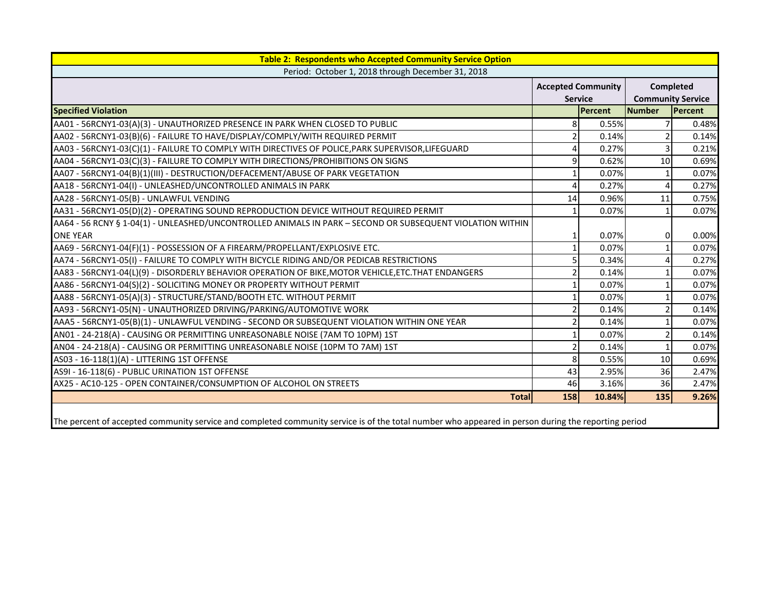| <b>Table 2: Respondents who Accepted Community Service Option</b>                                                                                   |                           |         |                |                          |
|-----------------------------------------------------------------------------------------------------------------------------------------------------|---------------------------|---------|----------------|--------------------------|
| Period: October 1, 2018 through December 31, 2018                                                                                                   |                           |         |                |                          |
|                                                                                                                                                     | <b>Accepted Community</b> |         |                | Completed                |
|                                                                                                                                                     | <b>Service</b>            |         |                | <b>Community Service</b> |
| <b>Specified Violation</b>                                                                                                                          |                           | Percent | <b>Number</b>  | Percent                  |
| AA01 - 56RCNY1-03(A)(3) - UNAUTHORIZED PRESENCE IN PARK WHEN CLOSED TO PUBLIC                                                                       | 8 <sup>1</sup>            | 0.55%   | 7              | 0.48%                    |
| AA02 - 56RCNY1-03(B)(6) - FAILURE TO HAVE/DISPLAY/COMPLY/WITH REQUIRED PERMIT                                                                       | $\overline{2}$            | 0.14%   |                | 0.14%                    |
| AA03 - 56RCNY1-03(C)(1) - FAILURE TO COMPLY WITH DIRECTIVES OF POLICE, PARK SUPERVISOR, LIFEGUARD                                                   | 4                         | 0.27%   | 3              | 0.21%                    |
| AA04 - 56RCNY1-03(C)(3) - FAILURE TO COMPLY WITH DIRECTIONS/PROHIBITIONS ON SIGNS                                                                   | $\overline{9}$            | 0.62%   | 10             | 0.69%                    |
| AA07 - 56RCNY1-04(B)(1)(III) - DESTRUCTION/DEFACEMENT/ABUSE OF PARK VEGETATION                                                                      | $\mathbf{1}$              | 0.07%   |                | 0.07%                    |
| AA18 - 56RCNY1-04(I) - UNLEASHED/UNCONTROLLED ANIMALS IN PARK                                                                                       | 4                         | 0.27%   | 4              | 0.27%                    |
| AA28 - 56RCNY1-05(B) - UNLAWFUL VENDING                                                                                                             | 14                        | 0.96%   | 11             | 0.75%                    |
| AA31 - 56RCNY1-05(D)(2) - OPERATING SOUND REPRODUCTION DEVICE WITHOUT REQUIRED PERMIT                                                               | $\mathbf{1}$              | 0.07%   | $\mathbf{1}$   | 0.07%                    |
| AA64 - 56 RCNY § 1-04(1) - UNLEASHED/UNCONTROLLED ANIMALS IN PARK - SECOND OR SUBSEQUENT VIOLATION WITHIN                                           |                           |         |                |                          |
| <b>ONE YEAR</b>                                                                                                                                     | $\mathbf{1}$              | 0.07%   | $\overline{0}$ | 0.00%                    |
| AA69 - 56RCNY1-04(F)(1) - POSSESSION OF A FIREARM/PROPELLANT/EXPLOSIVE ETC.                                                                         |                           | 0.07%   |                | 0.07%                    |
| AA74 - 56RCNY1-05(I) - FAILURE TO COMPLY WITH BICYCLE RIDING AND/OR PEDICAB RESTRICTIONS                                                            | 5 <sup>1</sup>            | 0.34%   | 4              | 0.27%                    |
| AA83 - 56RCNY1-04(L)(9) - DISORDERLY BEHAVIOR OPERATION OF BIKE, MOTOR VEHICLE, ETC. THAT ENDANGERS                                                 | $\overline{2}$            | 0.14%   |                | 0.07%                    |
| AA86 - 56RCNY1-04(S)(2) - SOLICITING MONEY OR PROPERTY WITHOUT PERMIT                                                                               | $\mathbf{1}$              | 0.07%   |                | 0.07%                    |
| AA88 - 56RCNY1-05(A)(3) - STRUCTURE/STAND/BOOTH ETC. WITHOUT PERMIT                                                                                 | $\mathbf{1}$              | 0.07%   |                | 0.07%                    |
| AA93 - 56RCNY1-05(N) - UNAUTHORIZED DRIVING/PARKING/AUTOMOTIVE WORK                                                                                 | $\overline{2}$            | 0.14%   | $\mathcal{P}$  | 0.14%                    |
| AAA5 - 56RCNY1-05(B)(1) - UNLAWFUL VENDING - SECOND OR SUBSEQUENT VIOLATION WITHIN ONE YEAR                                                         | $\overline{2}$            | 0.14%   |                | 0.07%                    |
| AN01 - 24-218(A) - CAUSING OR PERMITTING UNREASONABLE NOISE (7AM TO 10PM) 1ST                                                                       | $\mathbf{1}$              | 0.07%   | $\overline{2}$ | 0.14%                    |
| AN04 - 24-218(A) - CAUSING OR PERMITTING UNREASONABLE NOISE (10PM TO 7AM) 1ST                                                                       | $\overline{2}$            | 0.14%   | $\mathbf{1}$   | 0.07%                    |
| AS03 - 16-118(1)(A) - LITTERING 1ST OFFENSE                                                                                                         | 8 <sup>1</sup>            | 0.55%   | 10             | 0.69%                    |
| AS9I - 16-118(6) - PUBLIC URINATION 1ST OFFENSE                                                                                                     | 43                        | 2.95%   | 36             | 2.47%                    |
| AX25 - AC10-125 - OPEN CONTAINER/CONSUMPTION OF ALCOHOL ON STREETS                                                                                  | 46                        | 3.16%   | 36             | 2.47%                    |
| <b>Total</b>                                                                                                                                        | 158                       | 10.84%  | 135            | 9.26%                    |
| The percent of accepted community service and completed community service is of the total number who appeared in person during the reporting period |                           |         |                |                          |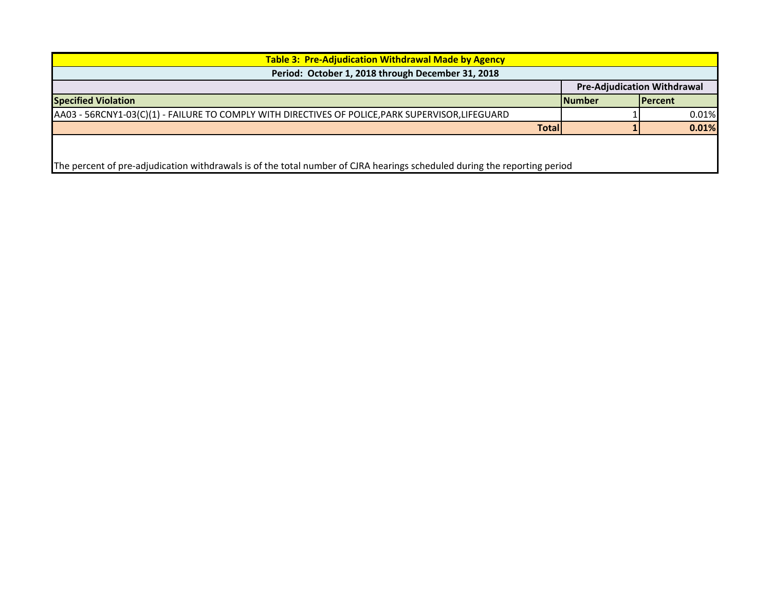| <b>Table 3: Pre-Adjudication Withdrawal Made by Agency</b><br>Period: October 1, 2018 through December 31, 2018 |  |                                                                                                                                                            |       |  |  |  |  |
|-----------------------------------------------------------------------------------------------------------------|--|------------------------------------------------------------------------------------------------------------------------------------------------------------|-------|--|--|--|--|
| <b>Pre-Adjudication Withdrawal</b>                                                                              |  |                                                                                                                                                            |       |  |  |  |  |
|                                                                                                                 |  | <b>IPercent</b>                                                                                                                                            |       |  |  |  |  |
|                                                                                                                 |  |                                                                                                                                                            | 0.01% |  |  |  |  |
|                                                                                                                 |  |                                                                                                                                                            | 0.01% |  |  |  |  |
|                                                                                                                 |  |                                                                                                                                                            |       |  |  |  |  |
|                                                                                                                 |  |                                                                                                                                                            |       |  |  |  |  |
|                                                                                                                 |  | <b>Number</b><br><b>Total</b><br>The percent of pre-adjudication withdrawals is of the total number of CJRA hearings scheduled during the reporting period |       |  |  |  |  |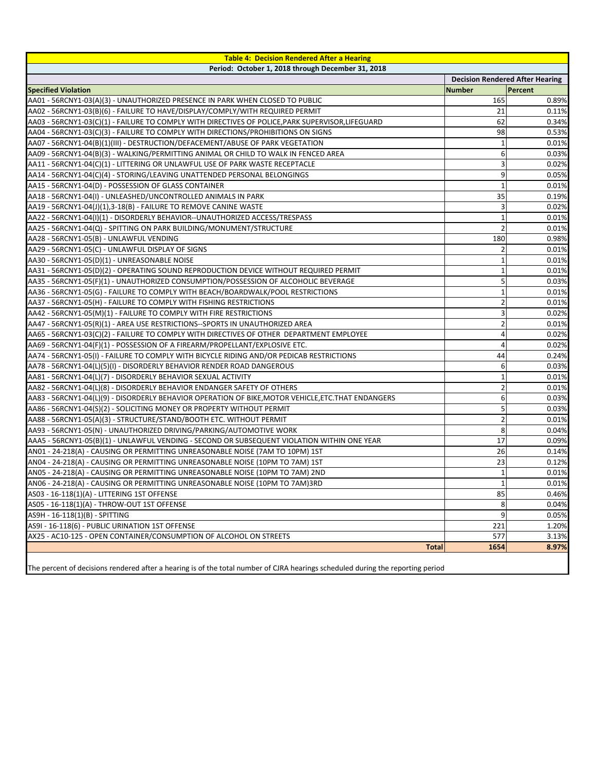| <b>Table 4: Decision Rendered After a Hearing</b>                                                                               |                |                                        |  |  |  |
|---------------------------------------------------------------------------------------------------------------------------------|----------------|----------------------------------------|--|--|--|
| Period: October 1, 2018 through December 31, 2018                                                                               |                |                                        |  |  |  |
|                                                                                                                                 |                | <b>Decision Rendered After Hearing</b> |  |  |  |
| <b>Specified Violation</b>                                                                                                      | <b>Number</b>  | Percent                                |  |  |  |
| AA01 - 56RCNY1-03(A)(3) - UNAUTHORIZED PRESENCE IN PARK WHEN CLOSED TO PUBLIC                                                   | 165            | 0.89%                                  |  |  |  |
| AA02 - 56RCNY1-03(B)(6) - FAILURE TO HAVE/DISPLAY/COMPLY/WITH REQUIRED PERMIT                                                   | 21             | 0.11%                                  |  |  |  |
| AA03 - 56RCNY1-03(C)(1) - FAILURE TO COMPLY WITH DIRECTIVES OF POLICE, PARK SUPERVISOR, LIFEGUARD                               | 62             | 0.34%                                  |  |  |  |
| AA04 - 56RCNY1-03(C)(3) - FAILURE TO COMPLY WITH DIRECTIONS/PROHIBITIONS ON SIGNS                                               | 98             | 0.53%                                  |  |  |  |
| AA07 - 56RCNY1-04(B)(1)(III) - DESTRUCTION/DEFACEMENT/ABUSE OF PARK VEGETATION                                                  |                | 0.01%                                  |  |  |  |
| AA09 - 56RCNY1-04(B)(3) - WALKING/PERMITTING ANIMAL OR CHILD TO WALK IN FENCED AREA                                             | 6              | 0.03%                                  |  |  |  |
| AA11 - 56RCNY1-04(C)(1) - LITTERING OR UNLAWFUL USE OF PARK WASTE RECEPTACLE                                                    |                | 0.02%                                  |  |  |  |
| AA14 - 56RCNY1-04(C)(4) - STORING/LEAVING UNATTENDED PERSONAL BELONGINGS                                                        | 9              | 0.05%                                  |  |  |  |
| AA15 - 56RCNY1-04(D) - POSSESSION OF GLASS CONTAINER                                                                            |                | 0.01%                                  |  |  |  |
| AA18 - 56RCNY1-04(I) - UNLEASHED/UNCONTROLLED ANIMALS IN PARK                                                                   | 35             | 0.19%                                  |  |  |  |
| AA19 - 56RCNY1-04(J)(1),3-18(B) - FAILURE TO REMOVE CANINE WASTE                                                                |                | 0.02%                                  |  |  |  |
| AA22 - 56RCNY1-04(I)(1) - DISORDERLY BEHAVIOR--UNAUTHORIZED ACCESS/TRESPASS                                                     |                | 0.01%                                  |  |  |  |
| AA25 - 56RCNY1-04(Q) - SPITTING ON PARK BUILDING/MONUMENT/STRUCTURE                                                             | $\overline{2}$ | 0.01%                                  |  |  |  |
| AA28 - 56RCNY1-05(B) - UNLAWFUL VENDING                                                                                         | 180            | 0.98%                                  |  |  |  |
| AA29 - 56RCNY1-05(C) - UNLAWFUL DISPLAY OF SIGNS                                                                                |                | 0.01%                                  |  |  |  |
| AA30 - 56RCNY1-05(D)(1) - UNREASONABLE NOISE                                                                                    |                | 0.01%                                  |  |  |  |
| AA31 - 56RCNY1-05(D)(2) - OPERATING SOUND REPRODUCTION DEVICE WITHOUT REQUIRED PERMIT                                           |                | 0.01%                                  |  |  |  |
| AA35 - 56RCNY1-05(F)(1) - UNAUTHORIZED CONSUMPTION/POSSESSION OF ALCOHOLIC BEVERAGE                                             |                | 0.03%                                  |  |  |  |
| AA36 - 56RCNY1-05(G) - FAILURE TO COMPLY WITH BEACH/BOARDWALK/POOL RESTRICTIONS                                                 |                | 0.01%                                  |  |  |  |
| AA37 - 56RCNY1-05(H) - FAILURE TO COMPLY WITH FISHING RESTRICTIONS                                                              |                | 0.01%                                  |  |  |  |
| AA42 - 56RCNY1-05(M)(1) - FAILURE TO COMPLY WITH FIRE RESTRICTIONS                                                              |                | 0.02%                                  |  |  |  |
| AA47 - 56RCNY1-05(R)(1) - AREA USE RESTRICTIONS--SPORTS IN UNAUTHORIZED AREA                                                    |                | 0.01%                                  |  |  |  |
| AA65 - 56RCNY1-03(C)(2) - FAILURE TO COMPLY WITH DIRECTIVES OF OTHER DEPARTMENT EMPLOYEE                                        |                | 0.02%                                  |  |  |  |
| AA69 - 56RCNY1-04(F)(1) - POSSESSION OF A FIREARM/PROPELLANT/EXPLOSIVE ETC.                                                     | Δ              | 0.02%                                  |  |  |  |
| AA74 - 56RCNY1-05(I) - FAILURE TO COMPLY WITH BICYCLE RIDING AND/OR PEDICAB RESTRICTIONS                                        | 44             | 0.24%                                  |  |  |  |
| AA78 - 56RCNY1-04(L)(5)(I) - DISORDERLY BEHAVIOR RENDER ROAD DANGEROUS                                                          |                | 0.03%                                  |  |  |  |
| AA81 - 56RCNY1-04(L)(7) - DISORDERLY BEHAVIOR SEXUAL ACTIVITY                                                                   | $\mathbf{1}$   | 0.01%                                  |  |  |  |
| AA82 - 56RCNY1-04(L)(8) - DISORDERLY BEHAVIOR ENDANGER SAFETY OF OTHERS                                                         |                | 0.01%                                  |  |  |  |
| AA83 - 56RCNY1-04(L)(9) - DISORDERLY BEHAVIOR OPERATION OF BIKE, MOTOR VEHICLE, ETC. THAT ENDANGERS                             | 6              | 0.03%                                  |  |  |  |
| AA86 - 56RCNY1-04(S)(2) - SOLICITING MONEY OR PROPERTY WITHOUT PERMIT                                                           |                | 0.03%                                  |  |  |  |
| AA88 - 56RCNY1-05(A)(3) - STRUCTURE/STAND/BOOTH ETC. WITHOUT PERMIT                                                             | $\overline{2}$ | 0.01%                                  |  |  |  |
| AA93 - 56RCNY1-05(N) - UNAUTHORIZED DRIVING/PARKING/AUTOMOTIVE WORK                                                             | 8              | 0.04%                                  |  |  |  |
| AAA5 - 56RCNY1-05(B)(1) - UNLAWFUL VENDING - SECOND OR SUBSEQUENT VIOLATION WITHIN ONE YEAR                                     | 17             | 0.09%                                  |  |  |  |
| AN01 - 24-218(A) - CAUSING OR PERMITTING UNREASONABLE NOISE (7AM TO 10PM) 1ST                                                   | 26             | 0.14%                                  |  |  |  |
| AN04 - 24-218(A) - CAUSING OR PERMITTING UNREASONABLE NOISE (10PM TO 7AM) 1ST                                                   | 23             | 0.12%                                  |  |  |  |
| AN05 - 24-218(A) - CAUSING OR PERMITTING UNREASONABLE NOISE (10PM TO 7AM) 2ND                                                   |                | 0.01%                                  |  |  |  |
| AN06 - 24-218(A) - CAUSING OR PERMITTING UNREASONABLE NOISE (10PM TO 7AM)3RD                                                    |                | 0.01%                                  |  |  |  |
| AS03 - 16-118(1)(A) - LITTERING 1ST OFFENSE                                                                                     | 85             | 0.46%                                  |  |  |  |
| AS05 - 16-118(1)(A) - THROW-OUT 1ST OFFENSE                                                                                     | 8              | 0.04%                                  |  |  |  |
| AS9H - 16-118(1)(B) - SPITTING                                                                                                  | 9              | 0.05%                                  |  |  |  |
| AS9I - 16-118(6) - PUBLIC URINATION 1ST OFFENSE                                                                                 | 221            | 1.20%                                  |  |  |  |
| AX25 - AC10-125 - OPEN CONTAINER/CONSUMPTION OF ALCOHOL ON STREETS                                                              | 577            | 3.13%                                  |  |  |  |
| <b>Total</b>                                                                                                                    | 1654           | 8.97%                                  |  |  |  |
| The percent of decisions rendered after a hearing is of the total number of CJRA hearings scheduled during the reporting period |                |                                        |  |  |  |

┛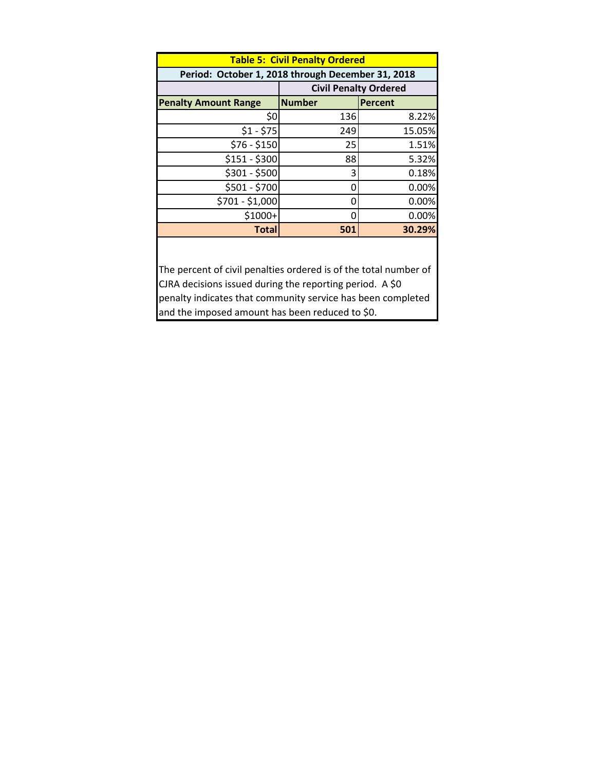|                                                   | <b>Table 5: Civil Penalty Ordered</b> |                              |  |  |  |  |  |
|---------------------------------------------------|---------------------------------------|------------------------------|--|--|--|--|--|
| Period: October 1, 2018 through December 31, 2018 |                                       |                              |  |  |  |  |  |
|                                                   |                                       | <b>Civil Penalty Ordered</b> |  |  |  |  |  |
| <b>Penalty Amount Range</b>                       | <b>Number</b>                         | <b>Percent</b>               |  |  |  |  |  |
| \$0                                               | 136                                   | 8.22%                        |  |  |  |  |  |
| $$1 - $75$                                        | 249                                   | 15.05%                       |  |  |  |  |  |
| $$76 - $150$                                      | 25                                    | 1.51%                        |  |  |  |  |  |
| $$151 - $300$                                     | 88                                    | 5.32%                        |  |  |  |  |  |
| $$301 - $500$                                     | 3                                     | 0.18%                        |  |  |  |  |  |
| \$501 - \$700                                     | 0                                     | 0.00%                        |  |  |  |  |  |
| \$701 - \$1,000                                   | 0                                     | 0.00%                        |  |  |  |  |  |
| $$1000+$                                          | U                                     | 0.00%                        |  |  |  |  |  |
| <b>Total</b>                                      | 501                                   | 30.29%                       |  |  |  |  |  |
|                                                   |                                       |                              |  |  |  |  |  |

The percent of civil penalties ordered is of the total number of CJRA decisions issued during the reporting period. A \$0 penalty indicates that community service has been completed and the imposed amount has been reduced to \$0.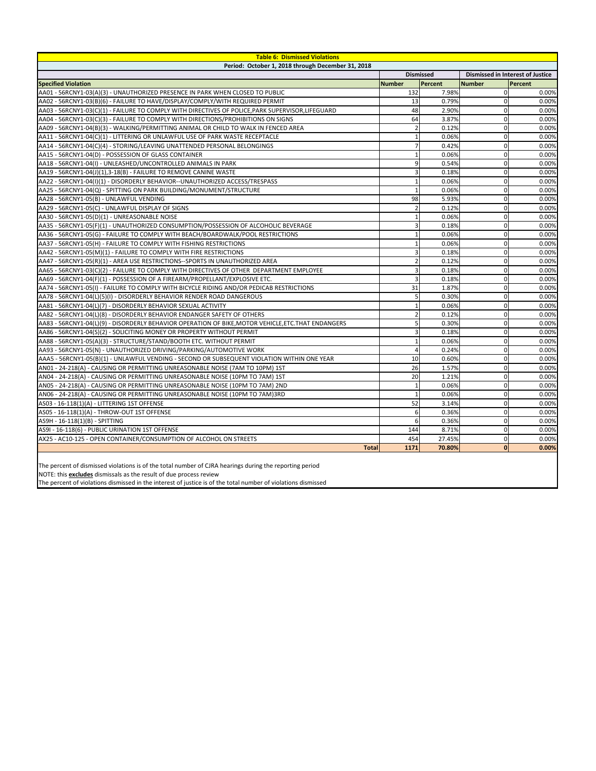| <b>Table 6: Dismissed Violations</b>                                                                |                |                  |               |                                         |  |  |  |
|-----------------------------------------------------------------------------------------------------|----------------|------------------|---------------|-----------------------------------------|--|--|--|
| Period: October 1, 2018 through December 31, 2018                                                   |                |                  |               |                                         |  |  |  |
|                                                                                                     |                | <b>Dismissed</b> |               | <b>Dismissed in Interest of Justice</b> |  |  |  |
| <b>Specified Violation</b>                                                                          | <b>Number</b>  | Percent          | <b>Number</b> | Percent                                 |  |  |  |
| AA01 - 56RCNY1-03(A)(3) - UNAUTHORIZED PRESENCE IN PARK WHEN CLOSED TO PUBLIC                       | 132            | 7.98%            | $\Omega$      | 0.00%                                   |  |  |  |
| AA02 - 56RCNY1-03(B)(6) - FAILURE TO HAVE/DISPLAY/COMPLY/WITH REQUIRED PERMIT                       | 13             | 0.79%            | 0             | 0.00%                                   |  |  |  |
| AA03 - 56RCNY1-03(C)(1) - FAILURE TO COMPLY WITH DIRECTIVES OF POLICE, PARK SUPERVISOR, LIFEGUARD   | 48             | 2.90%            | 0             | 0.00%                                   |  |  |  |
| AA04 - 56RCNY1-03(C)(3) - FAILURE TO COMPLY WITH DIRECTIONS/PROHIBITIONS ON SIGNS                   | 64             | 3.87%            | $\Omega$      | 0.00%                                   |  |  |  |
| AA09 - 56RCNY1-04(B)(3) - WALKING/PERMITTING ANIMAL OR CHILD TO WALK IN FENCED AREA                 |                | 0.12%            | 0             | 0.00%                                   |  |  |  |
| AA11 - 56RCNY1-04(C)(1) - LITTERING OR UNLAWFUL USE OF PARK WASTE RECEPTACLE                        |                | 0.06%            | 0             | 0.00%                                   |  |  |  |
| AA14 - 56RCNY1-04(C)(4) - STORING/LEAVING UNATTENDED PERSONAL BELONGINGS                            | $\overline{7}$ | 0.42%            | 0             | 0.00%                                   |  |  |  |
| AA15 - 56RCNY1-04(D) - POSSESSION OF GLASS CONTAINER                                                |                | 0.06%            | 0             | 0.00%                                   |  |  |  |
| AA18 - 56RCNY1-04(I) - UNLEASHED/UNCONTROLLED ANIMALS IN PARK                                       | $\overline{9}$ | 0.54%            | $\mathbf 0$   | 0.00%                                   |  |  |  |
| AA19 - 56RCNY1-04(J)(1),3-18(B) - FAILURE TO REMOVE CANINE WASTE                                    | 3              | 0.18%            | 0             | 0.00%                                   |  |  |  |
| AA22 - 56RCNY1-04(I)(1) - DISORDERLY BEHAVIOR--UNAUTHORIZED ACCESS/TRESPASS                         |                | 0.06%            | $\Omega$      | 0.00%                                   |  |  |  |
| AA25 - 56RCNY1-04(Q) - SPITTING ON PARK BUILDING/MONUMENT/STRUCTURE                                 |                | 0.06%            | 0             | 0.00%                                   |  |  |  |
| AA28 - 56RCNY1-05(B) - UNLAWFUL VENDING                                                             | 98             | 5.93%            | 0             | 0.00%                                   |  |  |  |
| AA29 - 56RCNY1-05(C) - UNLAWFUL DISPLAY OF SIGNS                                                    | 2              | 0.12%            | 0             | 0.00%                                   |  |  |  |
| AA30 - 56RCNY1-05(D)(1) - UNREASONABLE NOISE                                                        |                | 0.06%            | $\Omega$      | 0.00%                                   |  |  |  |
| AA35 - 56RCNY1-05(F)(1) - UNAUTHORIZED CONSUMPTION/POSSESSION OF ALCOHOLIC BEVERAGE                 |                | 0.18%            | $\Omega$      | 0.00%                                   |  |  |  |
| AA36 - 56RCNY1-05(G) - FAILURE TO COMPLY WITH BEACH/BOARDWALK/POOL RESTRICTIONS                     |                | 0.06%            | 0             | 0.00%                                   |  |  |  |
| AA37 - 56RCNY1-05(H) - FAILURE TO COMPLY WITH FISHING RESTRICTIONS                                  |                | 0.06%            | $\mathbf 0$   | 0.00%                                   |  |  |  |
| AA42 - 56RCNY1-05(M)(1) - FAILURE TO COMPLY WITH FIRE RESTRICTIONS                                  | 3              | 0.18%            | $\mathbf 0$   | 0.00%                                   |  |  |  |
| AA47 - 56RCNY1-05(R)(1) - AREA USE RESTRICTIONS--SPORTS IN UNAUTHORIZED AREA                        |                | 0.12%            | 0             | 0.00%                                   |  |  |  |
| AA65 - 56RCNY1-03(C)(2) - FAILURE TO COMPLY WITH DIRECTIVES OF OTHER DEPARTMENT EMPLOYEE            | 3              | 0.18%            | $\Omega$      | 0.00%                                   |  |  |  |
| AA69 - 56RCNY1-04(F)(1) - POSSESSION OF A FIREARM/PROPELLANT/EXPLOSIVE ETC.                         | 3              | 0.18%            | 0             | 0.00%                                   |  |  |  |
| AA74 - 56RCNY1-05(I) - FAILURE TO COMPLY WITH BICYCLE RIDING AND/OR PEDICAB RESTRICTIONS            | 31             | 1.87%            | $\mathbf 0$   | 0.00%                                   |  |  |  |
| AA78 - 56RCNY1-04(L)(5)(I) - DISORDERLY BEHAVIOR RENDER ROAD DANGEROUS                              | 5              | 0.30%            | $\mathbf 0$   | 0.00%                                   |  |  |  |
| AA81 - 56RCNY1-04(L)(7) - DISORDERLY BEHAVIOR SEXUAL ACTIVITY                                       |                | 0.06%            | $\mathbf{0}$  | 0.00%                                   |  |  |  |
| AA82 - 56RCNY1-04(L)(8) - DISORDERLY BEHAVIOR ENDANGER SAFETY OF OTHERS                             |                | 0.12%            | 0             | 0.00%                                   |  |  |  |
| AA83 - 56RCNY1-04(L)(9) - DISORDERLY BEHAVIOR OPERATION OF BIKE, MOTOR VEHICLE, ETC. THAT ENDANGERS | 5              | 0.30%            | $\Omega$      | 0.00%                                   |  |  |  |
| AA86 - 56RCNY1-04(S)(2) - SOLICITING MONEY OR PROPERTY WITHOUT PERMIT                               | $\overline{3}$ | 0.18%            | 0             | 0.00%                                   |  |  |  |
| AA88 - 56RCNY1-05(A)(3) - STRUCTURE/STAND/BOOTH ETC. WITHOUT PERMIT                                 |                | 0.06%            |               | 0.00%                                   |  |  |  |
| AA93 - 56RCNY1-05(N) - UNAUTHORIZED DRIVING/PARKING/AUTOMOTIVE WORK                                 | 4              | 0.24%            | 0             | 0.00%                                   |  |  |  |
| AAA5 - 56RCNY1-05(B)(1) - UNLAWFUL VENDING - SECOND OR SUBSEQUENT VIOLATION WITHIN ONE YEAR         | 10             | 0.60%            | 0             | 0.00%                                   |  |  |  |
| AN01 - 24-218(A) - CAUSING OR PERMITTING UNREASONABLE NOISE (7AM TO 10PM) 1ST                       | 26             | 1.57%            | 0             | 0.00%                                   |  |  |  |
| AN04 - 24-218(A) - CAUSING OR PERMITTING UNREASONABLE NOISE (10PM TO 7AM) 1ST                       | 20             | 1.21%            |               | 0.00%                                   |  |  |  |
| AN05 - 24-218(A) - CAUSING OR PERMITTING UNREASONABLE NOISE (10PM TO 7AM) 2ND                       |                | 0.06%            | 0             | 0.00%                                   |  |  |  |
| AN06 - 24-218(A) - CAUSING OR PERMITTING UNREASONABLE NOISE (10PM TO 7AM)3RD                        | $\mathbf{1}$   | 0.06%            | 0             | 0.00%                                   |  |  |  |
| AS03 - 16-118(1)(A) - LITTERING 1ST OFFENSE                                                         | 52             | 3.14%            | 0             | 0.00%                                   |  |  |  |
| AS05 - 16-118(1)(A) - THROW-OUT 1ST OFFENSE                                                         | 61             | 0.36%            | 0             | 0.00%                                   |  |  |  |
| AS9H - 16-118(1)(B) - SPITTING                                                                      | $6 \mid$       | 0.36%            | 0             | 0.00%                                   |  |  |  |
| AS9I - 16-118(6) - PUBLIC URINATION 1ST OFFENSE                                                     | 144            | 8.71%            | 0             | 0.00%                                   |  |  |  |
| AX25 - AC10-125 - OPEN CONTAINER/CONSUMPTION OF ALCOHOL ON STREETS                                  | 454            | 27.45%           | 0             | 0.00%                                   |  |  |  |
| <b>Total</b>                                                                                        | 1171           | 70.80%           | $\mathbf 0$   | 0.00%                                   |  |  |  |

NOTE: this **excludes** dismissals as the result of due process review

The percent of dismissed violations is of the total number of CJRA hearings during the reporting period

The percent of violations dismissed in the interest of justice is of the total number of violations dismissed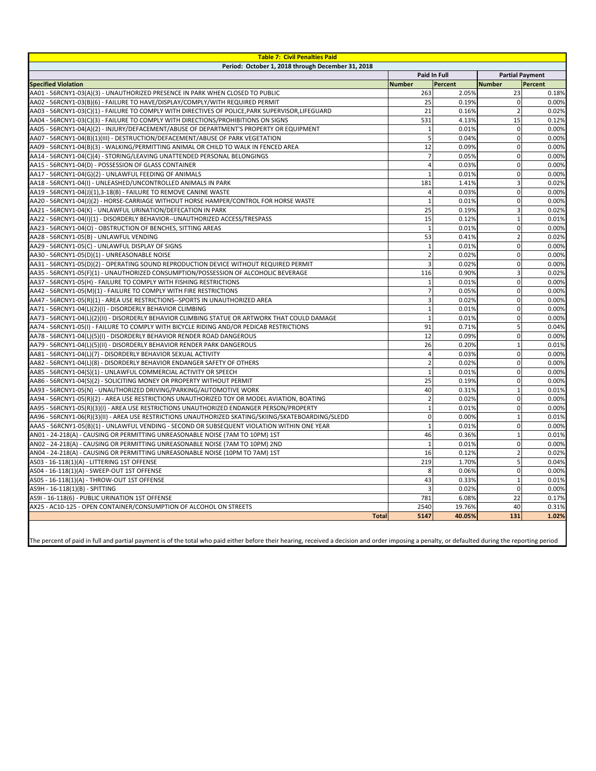| <b>Table 7: Civil Penalties Paid</b>                                                                |              |                     |               |                        |  |  |
|-----------------------------------------------------------------------------------------------------|--------------|---------------------|---------------|------------------------|--|--|
| Period: October 1, 2018 through December 31, 2018                                                   |              |                     |               |                        |  |  |
|                                                                                                     |              | <b>Paid In Full</b> |               | <b>Partial Payment</b> |  |  |
| <b>Specified Violation</b>                                                                          | Number       | Percent             | <b>Number</b> | Percent                |  |  |
| AA01 - 56RCNY1-03(A)(3) - UNAUTHORIZED PRESENCE IN PARK WHEN CLOSED TO PUBLIC                       | 263          | 2.05%               | 23            | 0.18%                  |  |  |
| AA02 - 56RCNY1-03(B)(6) - FAILURE TO HAVE/DISPLAY/COMPLY/WITH REQUIRED PERMIT                       | 25           | 0.19%               |               | 0.00%                  |  |  |
| AA03 - 56RCNY1-03(C)(1) - FAILURE TO COMPLY WITH DIRECTIVES OF POLICE, PARK SUPERVISOR, LIFEGUARD   | 21           | 0.16%               |               | 0.02%                  |  |  |
| AA04 - 56RCNY1-03(C)(3) - FAILURE TO COMPLY WITH DIRECTIONS/PROHIBITIONS ON SIGNS                   | 531          | 4.13%               | 15            | 0.12%                  |  |  |
| AA05 - 56RCNY1-04(A)(2) - INJURY/DEFACEMENT/ABUSE OF DEPARTMENT'S PROPERTY OR EQUIPMENT             |              | 0.01%               | 0             | 0.00%                  |  |  |
| AA07 - 56RCNY1-04(B)(1)(III) - DESTRUCTION/DEFACEMENT/ABUSE OF PARK VEGETATION                      |              | 0.04%               | 0             | 0.00%                  |  |  |
| AA09 - 56RCNY1-04(B)(3) - WALKING/PERMITTING ANIMAL OR CHILD TO WALK IN FENCED AREA                 | 12           | 0.09%               | 0             | 0.00%                  |  |  |
| AA14 - 56RCNY1-04(C)(4) - STORING/LEAVING UNATTENDED PERSONAL BELONGINGS                            |              | 0.05%               | 0             | 0.00%                  |  |  |
| AA15 - 56RCNY1-04(D) - POSSESSION OF GLASS CONTAINER                                                |              | 0.03%               | 0             | 0.00%                  |  |  |
| AA17 - 56RCNY1-04(G)(2) - UNLAWFUL FEEDING OF ANIMALS                                               |              | 0.01%               | 0             | 0.00%                  |  |  |
| AA18 - 56RCNY1-04(I) - UNLEASHED/UNCONTROLLED ANIMALS IN PARK                                       | 181          | 1.41%               | 3             | 0.02%                  |  |  |
| AA19 - 56RCNY1-04(J)(1),3-18(B) - FAILURE TO REMOVE CANINE WASTE                                    |              | 0.03%               | 0             | 0.00%                  |  |  |
| AA20 - 56RCNY1-04(J)(2) - HORSE-CARRIAGE WITHOUT HORSE HAMPER/CONTROL FOR HORSE WASTE               |              | 0.01%               | 0             | 0.00%                  |  |  |
| AA21 - 56RCNY1-04(K) - UNLAWFUL URINATION/DEFECATION IN PARK                                        | 25           | 0.19%               |               | 0.02%                  |  |  |
| AA22 - 56RCNY1-04(I)(1) - DISORDERLY BEHAVIOR--UNAUTHORIZED ACCESS/TRESPASS                         | 15           | 0.12%               |               | 0.01%                  |  |  |
| AA23 - 56RCNY1-04(O) - OBSTRUCTION OF BENCHES, SITTING AREAS                                        |              | 0.01%               | 0             | 0.00%                  |  |  |
| AA28 - 56RCNY1-05(B) - UNLAWFUL VENDING                                                             | 53           | 0.41%               |               | 0.02%                  |  |  |
| AA29 - 56RCNY1-05(C) - UNLAWFUL DISPLAY OF SIGNS                                                    |              | 0.01%               | 0             | 0.00%                  |  |  |
| AA30 - 56RCNY1-05(D)(1) - UNREASONABLE NOISE                                                        |              | 0.02%               | 0             | 0.00%                  |  |  |
| AA31 - 56RCNY1-05(D)(2) - OPERATING SOUND REPRODUCTION DEVICE WITHOUT REQUIRED PERMIT               | $\mathbf{3}$ | 0.02%               | 0             | 0.00%                  |  |  |
| AA35 - 56RCNY1-05(F)(1) - UNAUTHORIZED CONSUMPTION/POSSESSION OF ALCOHOLIC BEVERAGE                 | 116          | 0.90%               |               | 0.02%                  |  |  |
| AA37 - 56RCNY1-05(H) - FAILURE TO COMPLY WITH FISHING RESTRICTIONS                                  |              | 0.01%               | 0             | 0.00%                  |  |  |
| AA42 - 56RCNY1-05(M)(1) - FAILURE TO COMPLY WITH FIRE RESTRICTIONS                                  |              | 0.05%               | 0             | 0.00%                  |  |  |
| AA47 - 56RCNY1-05(R)(1) - AREA USE RESTRICTIONS--SPORTS IN UNAUTHORIZED AREA                        | 3            | 0.02%               | 0             | 0.00%                  |  |  |
| AA71 - 56RCNY1-04(L)(2)(I) - DISORDERLY BEHAVIOR CLIMBING                                           |              | 0.01%               | 0             | 0.00%                  |  |  |
| AA73 - 56RCNY1-04(L)(2)(II) - DISORDERLY BEHAVIOR CLIMBING STATUE OR ARTWORK THAT COULD DAMAGE      |              | 0.01%               | O             | 0.00%                  |  |  |
| AA74 - 56RCNY1-05(I) - FAILURE TO COMPLY WITH BICYCLE RIDING AND/OR PEDICAB RESTRICTIONS            | 91           | 0.71%               | 5             | 0.04%                  |  |  |
| AA78 - 56RCNY1-04(L)(5)(I) - DISORDERLY BEHAVIOR RENDER ROAD DANGEROUS                              | 12           | 0.09%               | 0             | 0.00%                  |  |  |
| AA79 - 56RCNY1-04(L)(5)(II) - DISORDERLY BEHAVIOR RENDER PARK DANGEROUS                             | 26           | 0.20%               |               | 0.01%                  |  |  |
| AA81 - 56RCNY1-04(L)(7) - DISORDERLY BEHAVIOR SEXUAL ACTIVITY                                       |              | 0.03%               | 0             | 0.00%                  |  |  |
| AA82 - 56RCNY1-04(L)(8) - DISORDERLY BEHAVIOR ENDANGER SAFETY OF OTHERS                             |              | 0.02%               | 0             | 0.00%                  |  |  |
| AA85 - 56RCNY1-04(S)(1) - UNLAWFUL COMMERCIAL ACTIVITY OR SPEECH                                    | 1            | 0.01%               | 0             | 0.00%                  |  |  |
| AA86 - 56RCNY1-04(S)(2) - SOLICITING MONEY OR PROPERTY WITHOUT PERMIT                               | 25           | 0.19%               | 0             | 0.00%                  |  |  |
| AA93 - 56RCNY1-05(N) - UNAUTHORIZED DRIVING/PARKING/AUTOMOTIVE WORK                                 | 40           | 0.31%               |               | 0.01%                  |  |  |
| AA94 - 56RCNY1-05(R)(2) - AREA USE RESTRICTIONS UNAUTHORIZED TOY OR MODEL AVIATION, BOATING         |              | 0.02%               | 0             | 0.00%                  |  |  |
| AA95 - 56RCNY1-05(R)(3)(I) - AREA USE RESTRICTIONS UNAUTHORIZED ENDANGER PERSON/PROPERTY            |              | 0.01%               | 0             | 0.00%                  |  |  |
| AA96 - 56RCNY1-06(R)(3)(II) - AREA USE RESTRICTIONS UNAUTHORIZED SKATING/SKIING/SKATEBOARDING/SLEDD | $\mathbf 0$  | 0.00%               |               | 0.01%                  |  |  |
| AAA5 - 56RCNY1-05(B)(1) - UNLAWFUL VENDING - SECOND OR SUBSEQUENT VIOLATION WITHIN ONE YEAR         |              | 0.01%               | 0             | 0.00%                  |  |  |
| AN01 - 24-218(A) - CAUSING OR PERMITTING UNREASONABLE NOISE (7AM TO 10PM) 1ST                       | 46           | 0.36%               |               | 0.01%                  |  |  |
| AN02 - 24-218(A) - CAUSING OR PERMITTING UNREASONABLE NOISE (7AM TO 10PM) 2ND                       |              | 0.01%               | 0             | 0.00%                  |  |  |
| AN04 - 24-218(A) - CAUSING OR PERMITTING UNREASONABLE NOISE (10PM TO 7AM) 1ST                       | 16           | 0.12%               |               | 0.02%                  |  |  |
| AS03 - 16-118(1)(A) - LITTERING 1ST OFFENSE                                                         | 219          | 1.70%               | 5             | 0.04%                  |  |  |
| AS04 - 16-118(1)(A) - SWEEP-OUT 1ST OFFENSE                                                         | 8            | 0.06%               | 0             | 0.00%                  |  |  |
| AS05 - 16-118(1)(A) - THROW-OUT 1ST OFFENSE                                                         | 43           | 0.33%               |               | 0.01%                  |  |  |
| AS9H - 16-118(1)(B) - SPITTING                                                                      |              | 0.02%               | 0             | 0.00%                  |  |  |
| AS9I - 16-118(6) - PUBLIC URINATION 1ST OFFENSE                                                     | 781          | 6.08%               | 22            | 0.17%                  |  |  |
| AX25 - AC10-125 - OPEN CONTAINER/CONSUMPTION OF ALCOHOL ON STREETS                                  | 2540         | 19.76%              | 40            | 0.31%                  |  |  |
| <b>Total</b>                                                                                        | 5147         | 40.05%              |               |                        |  |  |
|                                                                                                     |              |                     | 131           | 1.02%                  |  |  |

The percent of paid in full and partial payment is of the total who paid either before their hearing, received a decision and order imposing a penalty, or defaulted during the reporting period